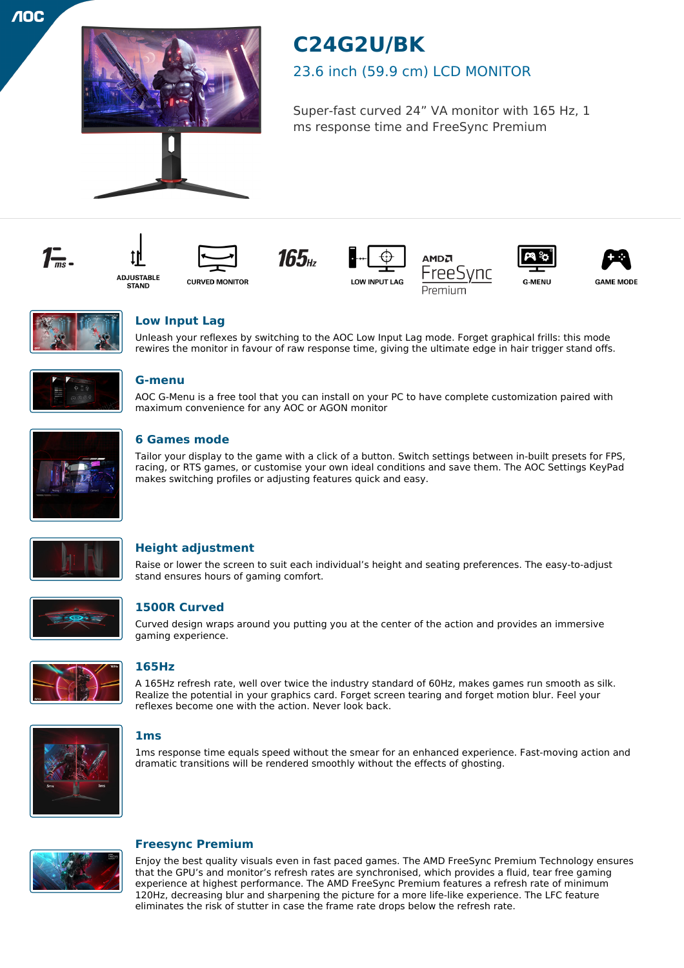

# **C24G2U/BK**

# 23.6 inch (59.9 cm) LCD MONITOR

Super-fast curved 24" VA monitor with 165 Hz, 1 ms response time and FreeSync Premium















**GAME MODE** 



# **Low Input Lag**

Unleash your reflexes by switching to the AOC Low Input Lag mode. Forget graphical frills: this mode rewires the monitor in favour of raw response time, giving the ultimate edge in hair trigger stand offs.



# **G-menu**

AOC G-Menu is a free tool that you can install on your PC to have complete customization paired with maximum convenience for any AOC or AGON monitor



# **6 Games mode**

Tailor your display to the game with a click of a button. Switch settings between in-built presets for FPS, racing, or RTS games, or customise your own ideal conditions and save them. The AOC Settings KeyPad makes switching profiles or adjusting features quick and easy.



# **Height adjustment**

Raise or lower the screen to suit each individual's height and seating preferences. The easy-to-adjust stand ensures hours of gaming comfort.



# **1500R Curved**

Curved design wraps around you putting you at the center of the action and provides an immersive gaming experience.



# **165Hz**

A 165Hz refresh rate, well over twice the industry standard of 60Hz, makes games run smooth as silk. Realize the potential in your graphics card. Forget screen tearing and forget motion blur. Feel your reflexes become one with the action. Never look back.



## **1ms**

1ms response time equals speed without the smear for an enhanced experience. Fast-moving action and dramatic transitions will be rendered smoothly without the effects of ghosting.



## **Freesync Premium**

Enjoy the best quality visuals even in fast paced games. The AMD FreeSync Premium Technology ensures that the GPU's and monitor's refresh rates are synchronised, which provides a fluid, tear free gaming experience at highest performance. The AMD FreeSync Premium features a refresh rate of minimum 120Hz, decreasing blur and sharpening the picture for a more life-like experience. The LFC feature eliminates the risk of stutter in case the frame rate drops below the refresh rate.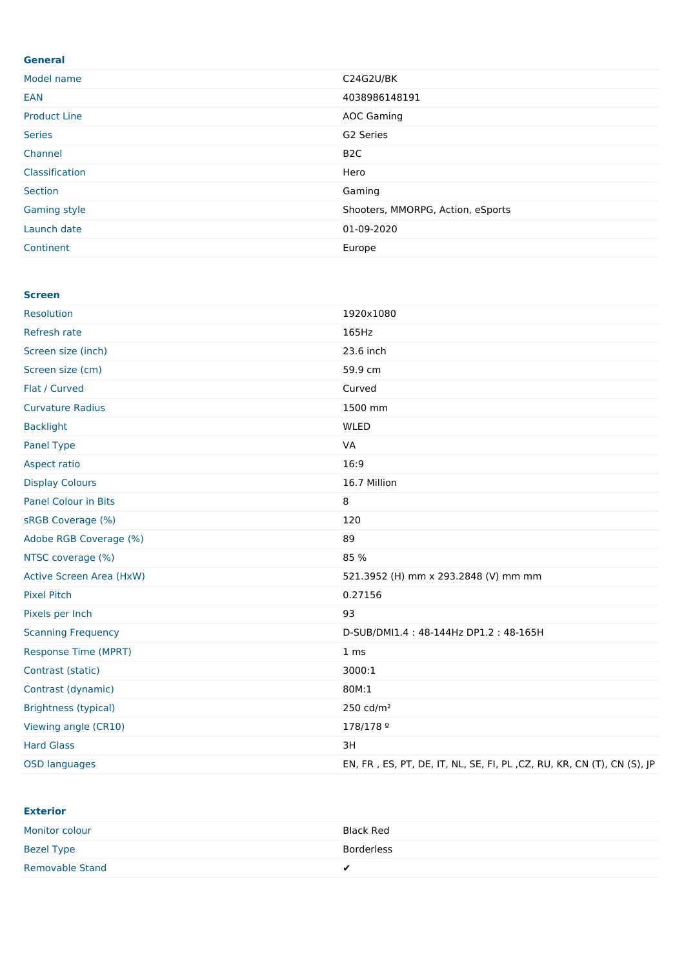| <b>General</b>      |                                   |
|---------------------|-----------------------------------|
| Model name          | C24G2U/BK                         |
| EAN                 | 4038986148191                     |
| <b>Product Line</b> | <b>AOC Gaming</b>                 |
| <b>Series</b>       | G2 Series                         |
| Channel             | B <sub>2</sub> C                  |
| Classification      | Hero                              |
| Section             | Gaming                            |
| Gaming style        | Shooters, MMORPG, Action, eSports |
| Launch date         | 01-09-2020                        |
| Continent           | Europe                            |

#### **Screen**

| Resolution                      | 1920x1080                                                              |
|---------------------------------|------------------------------------------------------------------------|
| Refresh rate                    | 165Hz                                                                  |
| Screen size (inch)              | 23.6 inch                                                              |
| Screen size (cm)                | 59.9 cm                                                                |
| Flat / Curved                   | Curved                                                                 |
| <b>Curvature Radius</b>         | 1500 mm                                                                |
| <b>Backlight</b>                | <b>WLED</b>                                                            |
| Panel Type                      | <b>VA</b>                                                              |
| Aspect ratio                    | 16:9                                                                   |
| <b>Display Colours</b>          | 16.7 Million                                                           |
| <b>Panel Colour in Bits</b>     | 8                                                                      |
| sRGB Coverage (%)               | 120                                                                    |
| Adobe RGB Coverage (%)          | 89                                                                     |
| NTSC coverage (%)               | 85 %                                                                   |
| <b>Active Screen Area (HxW)</b> | 521.3952 (H) mm x 293.2848 (V) mm mm                                   |
| <b>Pixel Pitch</b>              | 0.27156                                                                |
| Pixels per Inch                 | 93                                                                     |
| <b>Scanning Frequency</b>       | D-SUB/DMI1.4: 48-144Hz DP1.2: 48-165H                                  |
| <b>Response Time (MPRT)</b>     | 1 <sub>ms</sub>                                                        |
| Contrast (static)               | 3000:1                                                                 |
| Contrast (dynamic)              | 80M:1                                                                  |
| <b>Brightness (typical)</b>     | 250 cd/m <sup>2</sup>                                                  |
| Viewing angle (CR10)            | 178/178 <sup>o</sup>                                                   |
| <b>Hard Glass</b>               | 3H                                                                     |
| <b>OSD languages</b>            | EN, FR, ES, PT, DE, IT, NL, SE, FI, PL, CZ, RU, KR, CN (T), CN (S), JP |

### **Exterior**

| Monitor colour         | Black Red  |
|------------------------|------------|
| Bezel Type             | Borderless |
| <b>Removable Stand</b> |            |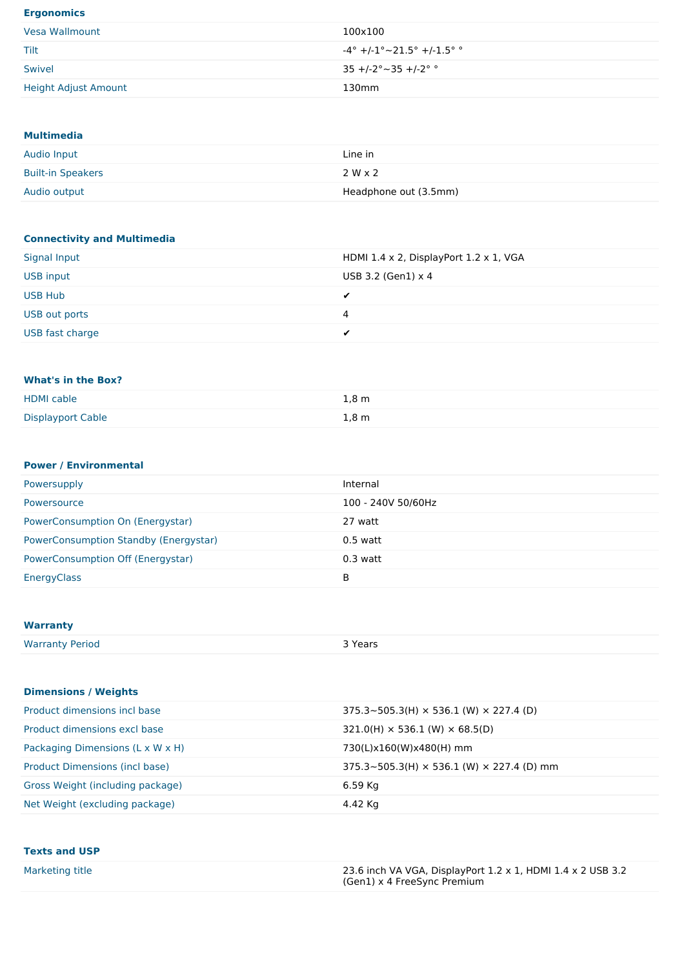### **Ergonomics**

| Vesa Wallmount       | 100x100                                       |
|----------------------|-----------------------------------------------|
| Tilt                 | $-4^{\circ}$ +/-1° $\sim$ 21.5° +/-1.5° °     |
| Swivel               | $35 + (-2^{\circ} \sim 35 + (-2^{\circ} \sim$ |
| Height Adjust Amount | 130mm                                         |

### **Multimedia**

| Audio Input              | Line in               |
|--------------------------|-----------------------|
| <b>Built-in Speakers</b> | 2 W x 2               |
| Audio output             | Headphone out (3.5mm) |

# **Connectivity and Multimedia**

| Signal Input    | HDMI 1.4 $\times$ 2, DisplayPort 1.2 $\times$ 1, VGA |
|-----------------|------------------------------------------------------|
| USB input       | USB 3.2 (Gen1) $\times$ 4                            |
| <b>USB Hub</b>  | -                                                    |
| USB out ports   | 4                                                    |
| USB fast charge |                                                      |

### **What's in the Box?**

| <b>HDMI</b> cable        | $1,8 \, \mathrm{m}$ |
|--------------------------|---------------------|
| <b>Displayport Cable</b> | $1,8 \, \mathrm{m}$ |

### **Power / Environmental**

| Powersupply                           | Internal           |
|---------------------------------------|--------------------|
| <b>Powersource</b>                    | 100 - 240V 50/60Hz |
| PowerConsumption On (Energystar)      | 27 watt            |
| PowerConsumption Standby (Energystar) | $0.5$ watt         |
| PowerConsumption Off (Energystar)     | $0.3$ watt         |
| EnergyClass                           | B                  |

## **Warranty**

| <b>Warranty Period</b> | 3 Years |
|------------------------|---------|
|------------------------|---------|

### **Dimensions /Weights**

| Product dimensions incl base     | $375.3 \times 505.3$ (H) $\times$ 536.1 (W) $\times$ 227.4 (D)    |
|----------------------------------|-------------------------------------------------------------------|
| Product dimensions excl base     | $321.0(H) \times 536.1$ (W) $\times$ 68.5(D)                      |
| Packaging Dimensions (L x W x H) | 730(L)x160(W)x480(H) mm                                           |
| Product Dimensions (incl base)   | $375.3 \times 505.3$ (H) $\times$ 536.1 (W) $\times$ 227.4 (D) mm |
| Gross Weight (including package) | 6.59 Kg                                                           |
| Net Weight (excluding package)   | 4.42 Kg                                                           |

| <b>Texts and USP</b> |                                                             |
|----------------------|-------------------------------------------------------------|
| Marketing title      | 23.6 inch VA VGA, DisplayPort 1.2 x 1, HDMI 1.4 x 2 USB 3.2 |

| arkeung uuel | 23.0 INCH VA VGA, DISPINYPOLE 1.2 X 1, HDMI 1.4 X 2 USB 3.2 |
|--------------|-------------------------------------------------------------|
|              | (Gen1) x 4 FreeSync Premium                                 |
|              |                                                             |